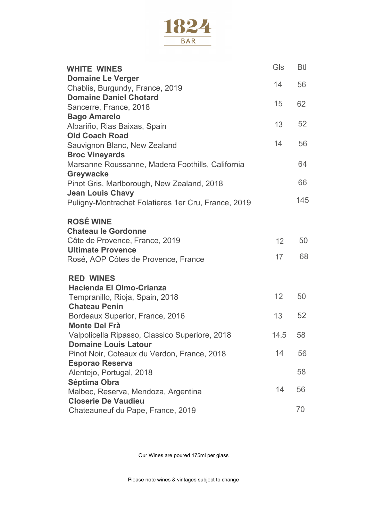

| <b>WHITE WINES</b>                                                        | Gls  | Btl |
|---------------------------------------------------------------------------|------|-----|
| <b>Domaine Le Verger</b><br>Chablis, Burgundy, France, 2019               | 14   | 56  |
| <b>Domaine Daniel Chotard</b>                                             |      |     |
| Sancerre, France, 2018                                                    | 15   | 62  |
| <b>Bago Amarelo</b>                                                       |      |     |
| Albariño, Rias Baixas, Spain                                              | 13   | 52  |
| <b>Old Coach Road</b>                                                     | 14   | 56  |
| Sauvignon Blanc, New Zealand                                              |      |     |
| <b>Broc Vineyards</b><br>Marsanne Roussanne, Madera Foothills, California |      | 64  |
| Greywacke                                                                 |      |     |
| Pinot Gris, Marlborough, New Zealand, 2018                                |      | 66  |
| <b>Jean Louis Chavy</b>                                                   |      |     |
| Puligny-Montrachet Folatieres 1er Cru, France, 2019                       |      | 145 |
| <b>ROSÉ WINE</b>                                                          |      |     |
| <b>Chateau le Gordonne</b>                                                |      |     |
| Côte de Provence, France, 2019                                            | 12   | 50  |
| <b>Ultimate Provence</b>                                                  |      |     |
| Rosé, AOP Côtes de Provence, France                                       | 17   | 68  |
| <b>RED WINES</b>                                                          |      |     |
| Hacienda El Olmo-Crianza                                                  |      |     |
| Tempranillo, Rioja, Spain, 2018                                           | 12   | 50  |
| <b>Chateau Penin</b>                                                      | 13   | 52  |
| Bordeaux Superior, France, 2016<br><b>Monte Del Frà</b>                   |      |     |
| Valpolicella Ripasso, Classico Superiore, 2018                            | 14.5 | 58  |
| <b>Domaine Louis Latour</b>                                               |      |     |
| Pinot Noir, Coteaux du Verdon, France, 2018                               | 14   | 56  |
| <b>Esporao Reserva</b>                                                    |      |     |
| Alentejo, Portugal, 2018                                                  |      | 58  |
| Séptima Obra                                                              | 14   | 56  |
| Malbec, Reserva, Mendoza, Argentina                                       |      |     |
| <b>Closerie De Vaudieu</b>                                                |      | 70  |
| Chateauneuf du Pape, France, 2019                                         |      |     |

Our Wines are poured 175ml per glass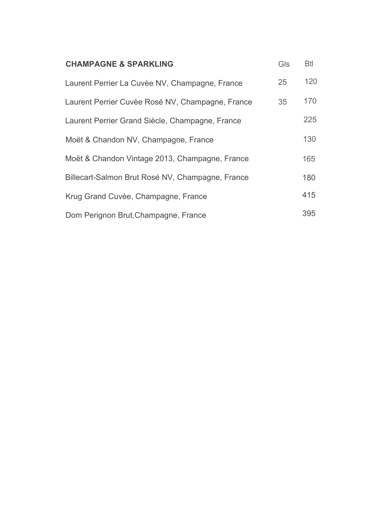| <b>CHAMPAGNE &amp; SPARKLING</b>                 | Gls | <b>Btl</b> |
|--------------------------------------------------|-----|------------|
| Laurent Perrier La Cuvèe NV, Champagne, France   | 25  | 120        |
| Laurent Perrier Cuvèe Rosé NV, Champagne, France | 35  | 170        |
| Laurent Perrier Grand Siècle, Champagne, France  |     | 225        |
| Moët & Chandon NV, Champagne, France             |     | 130        |
| Moët & Chandon Vintage 2013, Champagne, France   |     | 165        |
| Billecart-Salmon Brut Rosé NV, Champagne, France |     | 180        |
| Krug Grand Cuvèe, Champagne, France              |     | 415        |
| Dom Perignon Brut, Champagne, France             |     | 395        |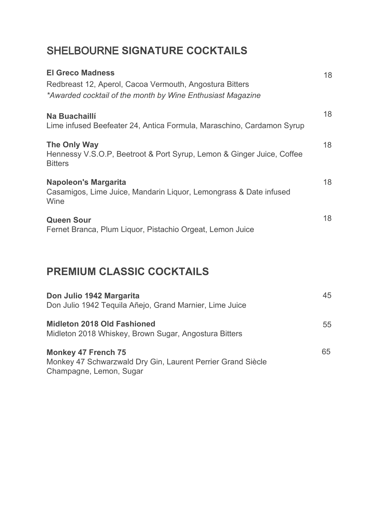# SHELBOURNE **SIGNATURE COCKTAILS**

| <b>El Greco Madness</b><br>Redbreast 12, Aperol, Cacoa Vermouth, Angostura Bitters<br>*Awarded cocktail of the month by Wine Enthusiast Magazine | 18 |
|--------------------------------------------------------------------------------------------------------------------------------------------------|----|
| Na Buachaillí<br>Lime infused Beefeater 24, Antica Formula, Maraschino, Cardamon Syrup                                                           | 18 |
| The Only Way<br>Hennessy V.S.O.P, Beetroot & Port Syrup, Lemon & Ginger Juice, Coffee<br><b>Bitters</b>                                          | 18 |
| <b>Napoleon's Margarita</b><br>Casamigos, Lime Juice, Mandarin Liquor, Lemongrass & Date infused<br>Wine                                         | 18 |
| <b>Queen Sour</b><br>Fernet Branca, Plum Liquor, Pistachio Orgeat, Lemon Juice                                                                   | 18 |

## **PREMIUM CLASSIC COCKTAILS**

| Don Julio 1942 Margarita<br>Don Julio 1942 Tequila Añejo, Grand Marnier, Lime Juice                                  | 45 |
|----------------------------------------------------------------------------------------------------------------------|----|
| Midleton 2018 Old Fashioned<br>Midleton 2018 Whiskey, Brown Sugar, Angostura Bitters                                 | 55 |
| <b>Monkey 47 French 75</b><br>Monkey 47 Schwarzwald Dry Gin, Laurent Perrier Grand Siècle<br>Champagne, Lemon, Sugar | 65 |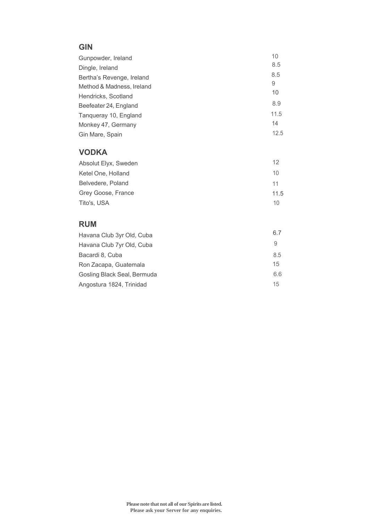#### **GIN**

| Gunpowder, Ireland        | 10   |
|---------------------------|------|
| Dingle, Ireland           | 8.5  |
| Bertha's Revenge, Ireland | 8.5  |
| Method & Madness, Ireland | 9    |
| Hendricks, Scotland       | 10   |
| Beefeater 24, England     | 8.9  |
| Tangueray 10, England     | 11.5 |
| Monkey 47, Germany        | 14   |
| Gin Mare, Spain           | 12.5 |

#### **VODKA**

| Absolut Elyx, Sweden |      |
|----------------------|------|
| Ketel One, Holland   | 10   |
| Belvedere, Poland    | 11   |
| Grey Goose, France   | 11.5 |
| Tito's, USA          | 10   |

### **RUM**

| Havana Club 3yr Old, Cuba   | 6.7 |
|-----------------------------|-----|
| Havana Club 7yr Old, Cuba   | 9   |
| Bacardi 8, Cuba             | 8.5 |
| Ron Zacapa, Guatemala       | 15  |
| Gosling Black Seal, Bermuda | 6.6 |
| Angostura 1824, Trinidad    | 15  |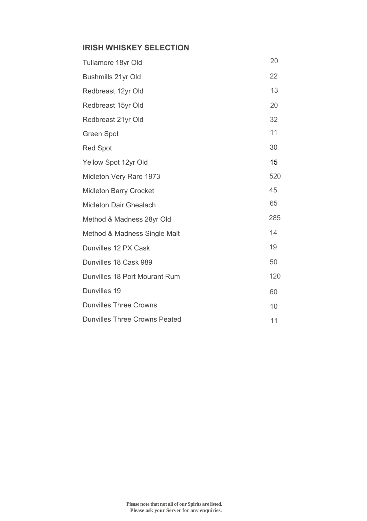## **IRISH WHISKEY SELECTION**

| Tullamore 18yr Old            | 20  |
|-------------------------------|-----|
| Bushmills 21yr Old            | 22  |
| Redbreast 12yr Old            | 13  |
| Redbreast 15yr Old            | 20  |
| Redbreast 21yr Old            | 32  |
| Green Spot                    | 11  |
| <b>Red Spot</b>               | 30  |
| Yellow Spot 12yr Old          | 15  |
| Midleton Very Rare 1973       | 520 |
| <b>Midleton Barry Crocket</b> | 45  |
| Midleton Dair Ghealach        | 65  |
| Method & Madness 28yr Old     | 285 |
| Method & Madness Single Malt  | 14  |
| Dunvilles 12 PX Cask          | 19  |
| Dunvilles 18 Cask 989         | 50  |
| Dunvilles 18 Port Mourant Rum | 120 |
| Dunvilles 19                  | 60  |
| <b>Dunvilles Three Crowns</b> | 10  |
| Dunvilles Three Crowns Peated | 11  |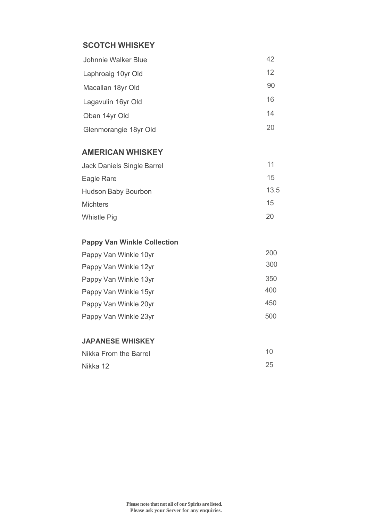## **SCOTCH WHISKEY**

| Johnnie Walker Blue   | 42 |
|-----------------------|----|
| Laphroaig 10yr Old    | 12 |
| Macallan 18yr Old     | 90 |
| Lagavulin 16yr Old    | 16 |
| Oban 14yr Old         | 14 |
| Glenmorangie 18yr Old | 20 |

### **AMERICAN WHISKEY**

| Jack Daniels Single Barrel | 11   |
|----------------------------|------|
| Eagle Rare                 | 15   |
| Hudson Baby Bourbon        | 13.5 |
| <b>Michters</b>            | 15   |
| <b>Whistle Pig</b>         | 20   |
|                            |      |

### **Pappy Van Winkle Collection**

| Pappy Van Winkle 10yr | 200 |
|-----------------------|-----|
| Pappy Van Winkle 12yr | 300 |
| Pappy Van Winkle 13yr | 350 |
| Pappy Van Winkle 15yr | 400 |
| Pappy Van Winkle 20yr | 450 |
| Pappy Van Winkle 23yr | 500 |

#### **JAPANESE WHISKEY**

| Nikka From the Barrel | 10 |
|-----------------------|----|
| Nikka 12              | 25 |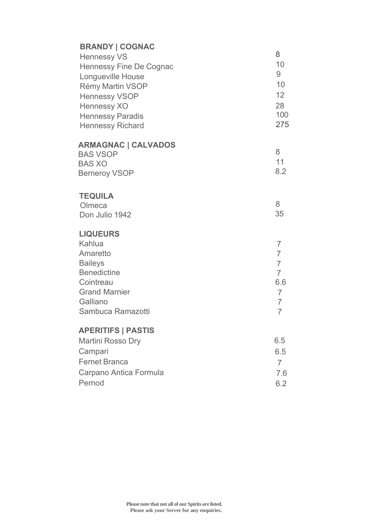| <b>BRANDY   COGNAC</b><br><b>Hennessy VS</b><br>Hennessy Fine De Cognac<br>Longueville House<br>Rémy Martin VSOP<br>Hennessy VSOP<br>Hennessy XO<br><b>Hennessy Paradis</b><br>Hennessy Richard | 8<br>10<br>9<br>10 <sup>1</sup><br>12 <sup>°</sup><br>28<br>10 <sub>C</sub><br>275                                                |
|-------------------------------------------------------------------------------------------------------------------------------------------------------------------------------------------------|-----------------------------------------------------------------------------------------------------------------------------------|
| <b>ARMAGNAC   CALVADOS</b><br><b>BAS VSOP</b><br><b>BAS XO</b><br><b>Berneroy VSOP</b>                                                                                                          | 8<br>11<br>8.2                                                                                                                    |
| <b>TEQUILA</b><br>Olmeca<br>Don Julio 1942                                                                                                                                                      | 8<br>35                                                                                                                           |
| <b>LIQUEURS</b><br>Kahlua<br>Amaretto<br><b>Baileys</b><br><b>Benedictine</b><br>Cointreau<br><b>Grand Marnier</b><br>Galliano<br>Sambuca Ramazotti                                             | $\overline{7}$<br>$\overline{7}$<br>$\overline{7}$<br>$\overline{7}$<br>6.6<br>$\overline{7}$<br>$\overline{7}$<br>$\overline{7}$ |
| <b>APERITIFS   PASTIS</b><br>Martini Rosso Dry<br>Campari<br>Fernet Branca<br>Carpano Antica Formula<br>Pernod                                                                                  | 6.5<br>6.5<br>$\overline{7}$<br>7.6<br>6.2                                                                                        |

7 7.6 6.2